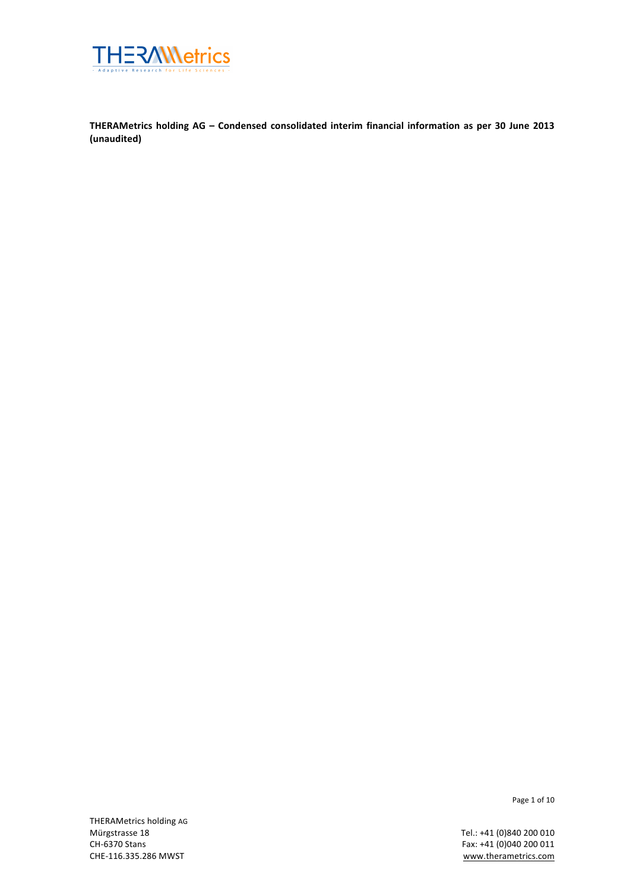

**THERAMetrics holding AG – Condensed consolidated interim financial information as per 30 June 2013 (unaudited)**

THERAMetrics holding AG<br>Mürgstrasse 18 Mürgstrasse 18 **Tel.:** +41 (0)840 200 010<br>CH-6370 Stans **CH-6370 Stans** 

Page 1 of 10

Fax: +41 (0)040 200 011 CHE-116.335.286 MWST www.therametrics.com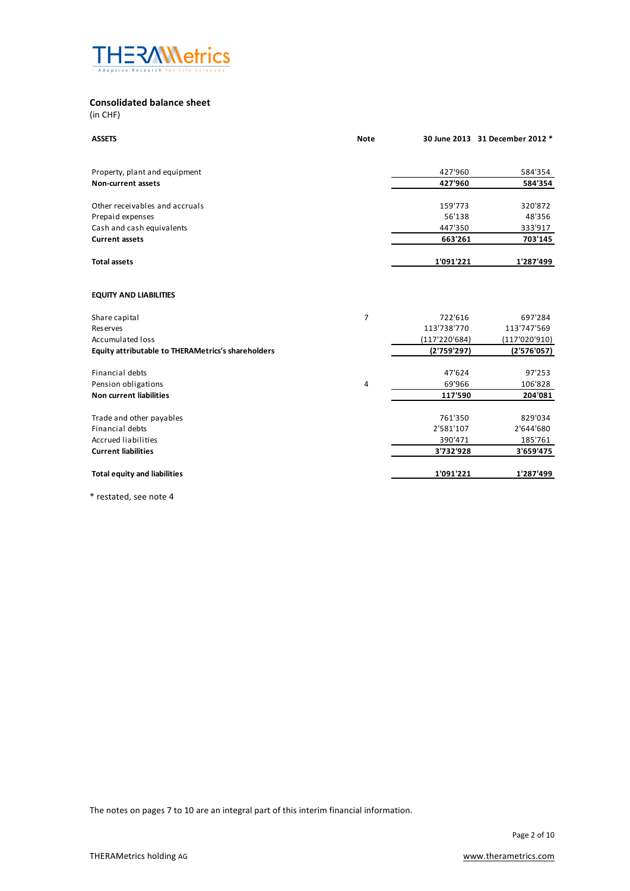

## **Consolidated balance sheet**

(in CHF)

| <b>ASSETS</b>                                      | <b>Note</b>    |               | 30 June 2013 31 December 2012 * |
|----------------------------------------------------|----------------|---------------|---------------------------------|
| Property, plant and equipment                      |                | 427'960       | 584'354                         |
| Non-current assets                                 |                | 427'960       | 584'354                         |
|                                                    |                |               |                                 |
| Other receivables and accruals                     |                | 159'773       | 320'872                         |
| Prepaid expenses                                   |                | 56'138        | 48'356                          |
| Cash and cash equivalents                          |                | 447'350       | 333'917                         |
| <b>Current assets</b>                              |                | 663'261       | 703'145                         |
| <b>Total assets</b>                                |                | 1'091'221     | 1'287'499                       |
| <b>EQUITY AND LIABILITIES</b>                      |                |               |                                 |
| Share capital                                      | $\overline{7}$ | 722'616       | 697'284                         |
| <b>Reserves</b>                                    |                | 113'738'770   | 113'747'569                     |
| <b>Accumulated loss</b>                            |                | (117'220'684) | (117'020'910)                   |
| Equity attributable to THERAMetrics's shareholders |                | (2'759'297)   | (2'576'057)                     |
| <b>Financial debts</b>                             |                | 47'624        | 97'253                          |
| Pension obligations                                | 4              | 69'966        | 106'828                         |
| Non current liabilities                            |                | 117'590       | 204'081                         |
| Trade and other payables                           |                | 761'350       | 829'034                         |
| <b>Financial debts</b>                             |                | 2'581'107     | 2'644'680                       |
| <b>Accrued liabilities</b>                         |                | 390'471       | 185'761                         |
| <b>Current liabilities</b>                         |                | 3'732'928     | 3'659'475                       |
| <b>Total equity and liabilities</b>                |                | 1'091'221     | 1'287'499                       |

\* restated, see note 4

The notes on pages 7 to 10 are an integral part of this interim financial information.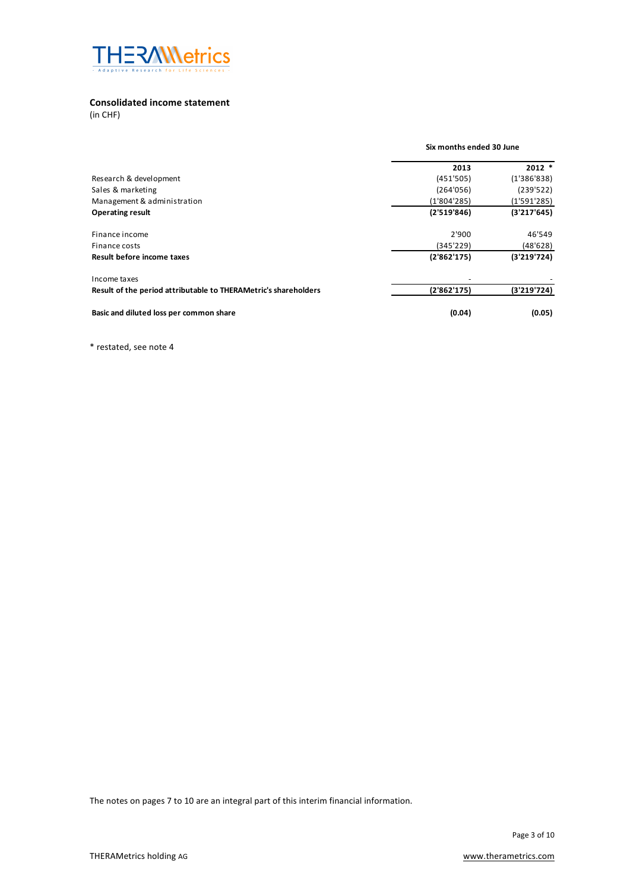

## **Consolidated income statement**

(in CHF)

|                                                                 | Six months ended 30 June |                          |  |  |  |  |  |             |
|-----------------------------------------------------------------|--------------------------|--------------------------|--|--|--|--|--|-------------|
|                                                                 | 2013                     | $2012$ *                 |  |  |  |  |  |             |
| Research & development                                          |                          | (451'505)                |  |  |  |  |  | (1'386'838) |
| Sales & marketing                                               | (264'056)<br>(1'804'285) | (239'522)<br>(1'591'285) |  |  |  |  |  |             |
| Management & administration                                     |                          |                          |  |  |  |  |  |             |
| <b>Operating result</b>                                         | (2'519'846)              | (3'217'645)              |  |  |  |  |  |             |
| Finance income                                                  | 2'900                    | 46'549                   |  |  |  |  |  |             |
| Finance costs                                                   | (345'229)                | (48'628)                 |  |  |  |  |  |             |
| Result before income taxes                                      | (2'862'175)              | (3'219'724)              |  |  |  |  |  |             |
| Income taxes                                                    |                          |                          |  |  |  |  |  |             |
| Result of the period attributable to THERAMetric's shareholders | (2'862'175)              | (3'219'724)              |  |  |  |  |  |             |
| Basic and diluted loss per common share                         | (0.04)                   | (0.05)                   |  |  |  |  |  |             |

\* restated, see note 4

The notes on pages 7 to 10 are an integral part of this interim financial information.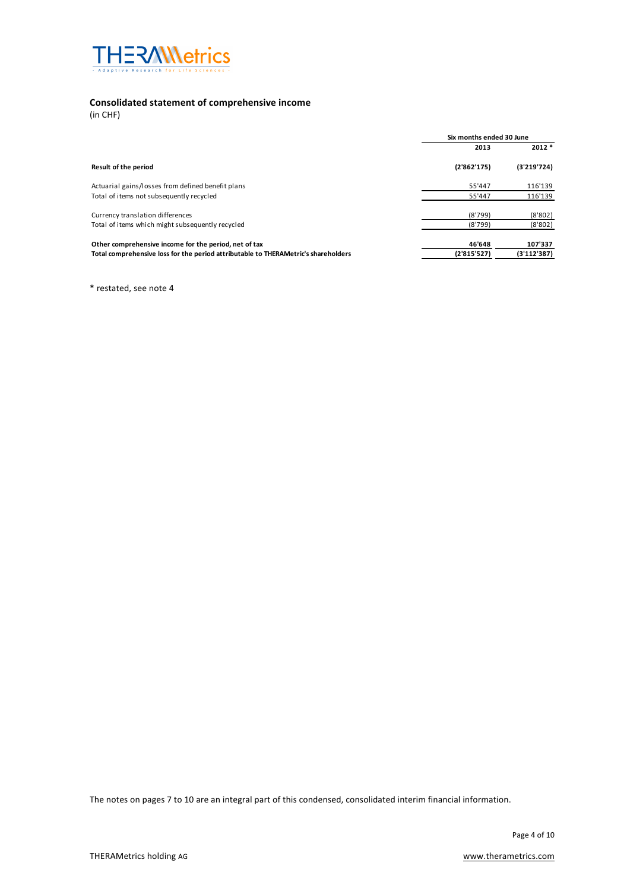

# **Consolidated statement of comprehensive income**

(in CHF)

|                                                                                    | Six months ended 30 June |             |  |
|------------------------------------------------------------------------------------|--------------------------|-------------|--|
|                                                                                    | 2013                     | $2012*$     |  |
| Result of the period                                                               | (2'862'175)              | (3'219'724) |  |
| Actuarial gains/losses from defined benefit plans                                  | 55'447                   | 116'139     |  |
| Total of items not subsequently recycled                                           | 55'447                   | 116'139     |  |
| Currency translation differences                                                   | (8'799)                  | (8'802)     |  |
| Total of items which might subsequently recycled                                   | (8'799)                  | (8'802)     |  |
| Other comprehensive income for the period, net of tax                              | 46'648                   | 107'337     |  |
| Total comprehensive loss for the period attributable to THERAMetric's shareholders | (2'815'527)              | (3'112'387) |  |

\* restated, see note 4

The notes on pages 7 to 10 are an integral part of this condensed, consolidated interim financial information.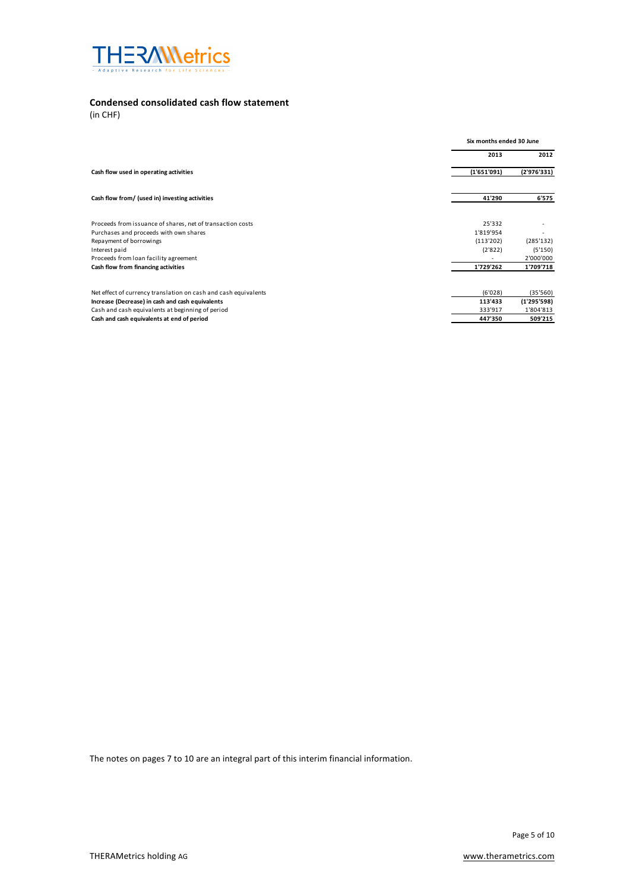

# **Condensed consolidated cash flow statement**

(in CHF)

|                                                                 |             | Six months ended 30 June |  |
|-----------------------------------------------------------------|-------------|--------------------------|--|
|                                                                 | 2013        | 2012                     |  |
| Cash flow used in operating activities                          | (1'651'091) | (2'976'331)              |  |
| Cash flow from/ (used in) investing activities                  | 41'290      | 6'575                    |  |
| Proceeds from issuance of shares, net of transaction costs      | 25'332      |                          |  |
| Purchases and proceeds with own shares                          | 1'819'954   |                          |  |
| Repayment of borrowings                                         | (113'202)   | (285'132)                |  |
| Interest paid                                                   | (2'822)     | (5'150)<br>2'000'000     |  |
| Proceeds from loan facility agreement                           |             |                          |  |
| Cash flow from financing activities                             | 1'729'262   | 1'709'718                |  |
| Net effect of currency translation on cash and cash equivalents | (6'028)     | (35'560)                 |  |
| Increase (Decrease) in cash and cash equivalents                | 113'433     | (1'295'598)              |  |
| Cash and cash equivalents at beginning of period                | 333'917     | 1'804'813                |  |
| Cash and cash equivalents at end of period                      | 447'350     | 509'215                  |  |

The notes on pages 7 to 10 are an integral part of this interim financial information.

Page 5 of 10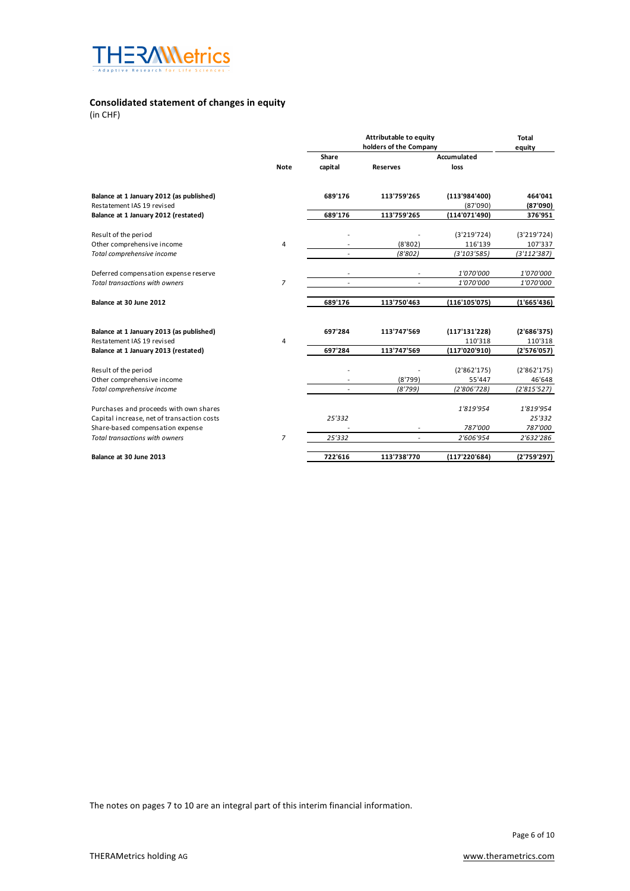

# **Consolidated statement of changes in equity**

(in CHF)

|                                            |                |                | Attributable to equity |               | <b>Total</b> |
|--------------------------------------------|----------------|----------------|------------------------|---------------|--------------|
|                                            |                |                | equity                 |               |              |
|                                            |                | Share          |                        | Accumulated   |              |
|                                            | <b>Note</b>    | capital        | <b>Reserves</b>        | loss          |              |
| Balance at 1 January 2012 (as published)   |                | 689'176        | 113'759'265            | (113'984'400) | 464'041      |
| Restatement IAS 19 revised                 |                |                |                        | (87'090)      | (87'090)     |
| Balance at 1 January 2012 (restated)       |                | 689'176        | 113'759'265            | (114'071'490) | 376'951      |
| Result of the period                       |                |                |                        | (3'219'724)   | (3'219'724)  |
| Other comprehensive income                 | 4              |                | (8'802)                | 116'139       | 107'337      |
| Total comprehensive income                 |                | $\overline{a}$ | (8'802)                | (3'103'585)   | (3'112'387)  |
| Deferred compensation expense reserve      |                |                |                        | 1'070'000     | 1'070'000    |
| <b>Total transactions with owners</b>      | $\overline{z}$ |                |                        | 1'070'000     | 1'070'000    |
| Balance at 30 June 2012                    |                | 689'176        | 113'750'463            | (116'105'075) | (1'665'436)  |
| Balance at 1 January 2013 (as published)   |                | 697'284        | 113'747'569            | (117'131'228) | (2'686'375)  |
| Restatement IAS 19 revised                 | $\overline{4}$ |                |                        | 110'318       | 110'318      |
| Balance at 1 January 2013 (restated)       |                | 697'284        | 113'747'569            | (117'020'910) | (2'576'057)  |
| Result of the period                       |                |                |                        | (2'862'175)   | (2'862'175)  |
| Other comprehensive income                 |                |                | (8'799)                | 55'447        | 46'648       |
| Total comprehensive income                 |                |                | (8'799)                | (2'806'728)   | (2'815'527)  |
| Purchases and proceeds with own shares     |                |                |                        | 1'819'954     | 1'819'954    |
| Capital increase, net of transaction costs |                | 25'332         |                        |               | 25'332       |
| Share-based compensation expense           |                |                |                        | 787'000       | 787'000      |
| <b>Total transactions with owners</b>      | $\overline{7}$ | 25'332         | $\overline{a}$         | 2'606'954     | 2'632'286    |
| Balance at 30 June 2013                    |                | 722'616        | 113'738'770            | (117'220'684) | (2'759'297)  |

The notes on pages 7 to 10 are an integral part of this interim financial information.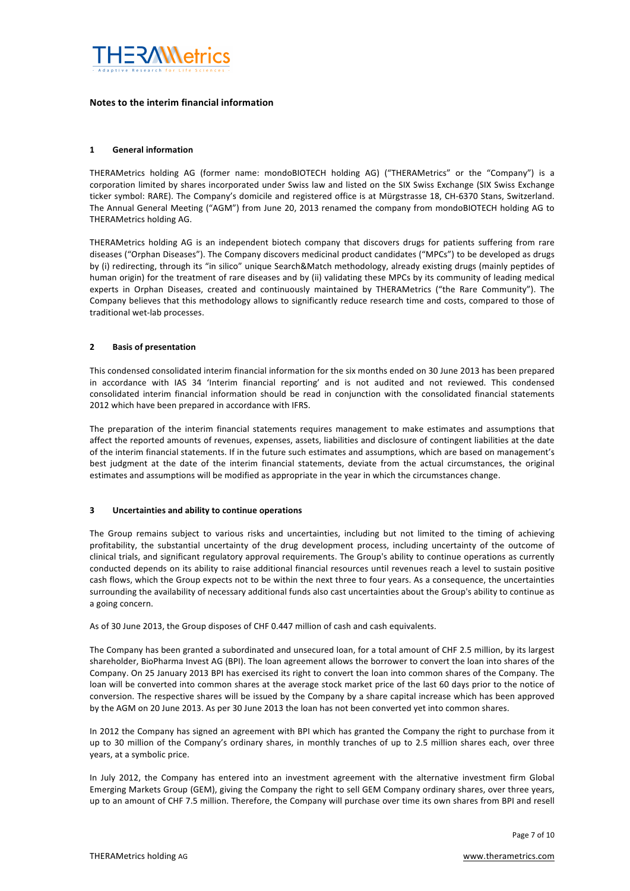

### Notes to the interim financial information

### **1 General information**

THERAMetrics holding AG (former name: mondoBIOTECH holding AG) ("THERAMetrics" or the "Company") is a corporation limited by shares incorporated under Swiss law and listed on the SIX Swiss Exchange (SIX Swiss Exchange ticker symbol: RARE). The Company's domicile and registered office is at Mürgstrasse 18, CH-6370 Stans, Switzerland. The Annual General Meeting ("AGM") from June 20, 2013 renamed the company from mondoBIOTECH holding AG to THERAMetrics holding AG.

THERAMetrics holding AG is an independent biotech company that discovers drugs for patients suffering from rare diseases ("Orphan Diseases"). The Company discovers medicinal product candidates ("MPCs") to be developed as drugs by (i) redirecting, through its "in silico" unique Search&Match methodology, already existing drugs (mainly peptides of human origin) for the treatment of rare diseases and by (ii) validating these MPCs by its community of leading medical experts in Orphan Diseases, created and continuously maintained by THERAMetrics ("the Rare Community"). The Company believes that this methodology allows to significantly reduce research time and costs, compared to those of traditional wet-lab processes.

#### **2 Basis of presentation**

This condensed consolidated interim financial information for the six months ended on 30 June 2013 has been prepared in accordance with IAS 34 'Interim financial reporting' and is not audited and not reviewed. This condensed consolidated interim financial information should be read in conjunction with the consolidated financial statements 2012 which have been prepared in accordance with IFRS.

The preparation of the interim financial statements requires management to make estimates and assumptions that affect the reported amounts of revenues, expenses, assets, liabilities and disclosure of contingent liabilities at the date of the interim financial statements. If in the future such estimates and assumptions, which are based on management's best judgment at the date of the interim financial statements, deviate from the actual circumstances, the original estimates and assumptions will be modified as appropriate in the year in which the circumstances change.

#### **3** Uncertainties and ability to continue operations

The Group remains subject to various risks and uncertainties, including but not limited to the timing of achieving profitability, the substantial uncertainty of the drug development process, including uncertainty of the outcome of clinical trials, and significant regulatory approval requirements. The Group's ability to continue operations as currently conducted depends on its ability to raise additional financial resources until revenues reach a level to sustain positive cash flows, which the Group expects not to be within the next three to four years. As a consequence, the uncertainties surrounding the availability of necessary additional funds also cast uncertainties about the Group's ability to continue as a going concern.

As of 30 June 2013, the Group disposes of CHF 0.447 million of cash and cash equivalents.

The Company has been granted a subordinated and unsecured loan, for a total amount of CHF 2.5 million, by its largest shareholder, BioPharma Invest AG (BPI). The loan agreement allows the borrower to convert the loan into shares of the Company. On 25 January 2013 BPI has exercised its right to convert the loan into common shares of the Company. The loan will be converted into common shares at the average stock market price of the last 60 days prior to the notice of conversion. The respective shares will be issued by the Company by a share capital increase which has been approved by the AGM on 20 June 2013. As per 30 June 2013 the loan has not been converted yet into common shares.

In 2012 the Company has signed an agreement with BPI which has granted the Company the right to purchase from it up to 30 million of the Company's ordinary shares, in monthly tranches of up to 2.5 million shares each, over three years, at a symbolic price.

In July 2012, the Company has entered into an investment agreement with the alternative investment firm Global Emerging Markets Group (GEM), giving the Company the right to sell GEM Company ordinary shares, over three years, up to an amount of CHF 7.5 million. Therefore, the Company will purchase over time its own shares from BPI and resell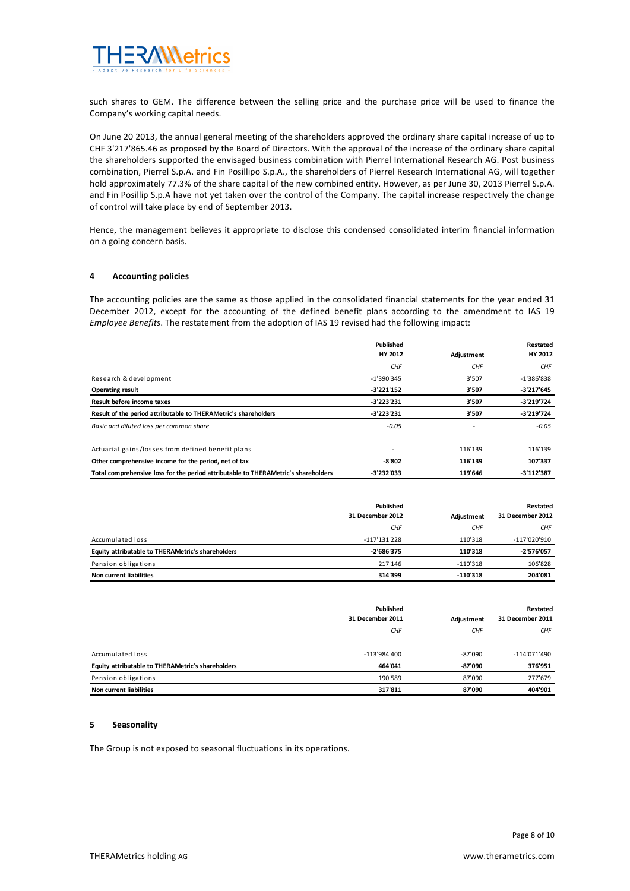

such shares to GEM. The difference between the selling price and the purchase price will be used to finance the Company's working capital needs.

On June 20 2013, the annual general meeting of the shareholders approved the ordinary share capital increase of up to CHF 3'217'865.46 as proposed by the Board of Directors. With the approval of the increase of the ordinary share capital the shareholders supported the envisaged business combination with Pierrel International Research AG. Post business combination, Pierrel S.p.A. and Fin Posillipo S.p.A., the shareholders of Pierrel Research International AG, will together hold approximately 77.3% of the share capital of the new combined entity. However, as per June 30, 2013 Pierrel S.p.A. and Fin Posillip S.p.A have not yet taken over the control of the Company. The capital increase respectively the change of control will take place by end of September 2013.

Hence, the management believes it appropriate to disclose this condensed consolidated interim financial information on a going concern basis.

#### **4 Accounting policies**

The accounting policies are the same as those applied in the consolidated financial statements for the year ended 31 December 2012, except for the accounting of the defined benefit plans according to the amendment to IAS 19 *Employee Benefits*. The restatement from the adoption of IAS 19 revised had the following impact:

|                                                                                    | Published    |            | Restated     |
|------------------------------------------------------------------------------------|--------------|------------|--------------|
|                                                                                    | HY 2012      | Adjustment | HY 2012      |
|                                                                                    | <b>CHF</b>   | CHF        | <b>CHF</b>   |
| Research & development                                                             | $-1'390'345$ | 3'507      | $-1'386'838$ |
| <b>Operating result</b>                                                            | -3'221'152   | 3'507      | -3'217'645   |
| Result before income taxes                                                         | $-3'223'231$ | 3'507      | $-3'219'724$ |
| Result of the period attributable to THERAMetric's shareholders                    | $-3'223'231$ | 3'507      | $-3'219'724$ |
| Basic and diluted loss per common share                                            | $-0.05$      |            | $-0.05$      |
| Actuarial gains/losses from defined benefit plans                                  |              | 116'139    | 116'139      |
| Other comprehensive income for the period, net of tax                              | -8'802       | 116'139    | 107'337      |
| Total comprehensive loss for the period attributable to THERAMetric's shareholders | -3'232'033   | 119'646    | $-3'112'387$ |

|                                                   | Published<br>31 December 2012 | Restated<br>31 December 2012<br>Adjustment |              |
|---------------------------------------------------|-------------------------------|--------------------------------------------|--------------|
|                                                   | <b>CHF</b>                    | CHF                                        | <b>CHF</b>   |
| Accumulated loss                                  | $-117'131'228$                | 110'318                                    | -117'020'910 |
| Equity attributable to THERAMetric's shareholders | -2'686'375                    | 110'318                                    | -2'576'057   |
| Pension obligations                               | 217'146                       | $-110'318$                                 | 106'828      |
| <b>Non current liabilities</b>                    | 314'399                       | $-110'318$                                 | 204'081      |

|                                                   | Published<br>31 December 2011 | Adjustment | Restated<br>31 December 2011 |
|---------------------------------------------------|-------------------------------|------------|------------------------------|
|                                                   | <b>CHF</b>                    | <b>CHF</b> | <b>CHF</b>                   |
| Accumulated loss                                  | -113'984'400                  | -87'090    | -114'071'490                 |
| Equity attributable to THERAMetric's shareholders | 464'041                       | -87'090    | 376'951                      |
| Pension obligations                               | 190'589                       | 87'090     | 277'679                      |
| <b>Non current liabilities</b>                    | 317'811                       | 87'090     | 404'901                      |

#### **5 Seasonality**

The Group is not exposed to seasonal fluctuations in its operations.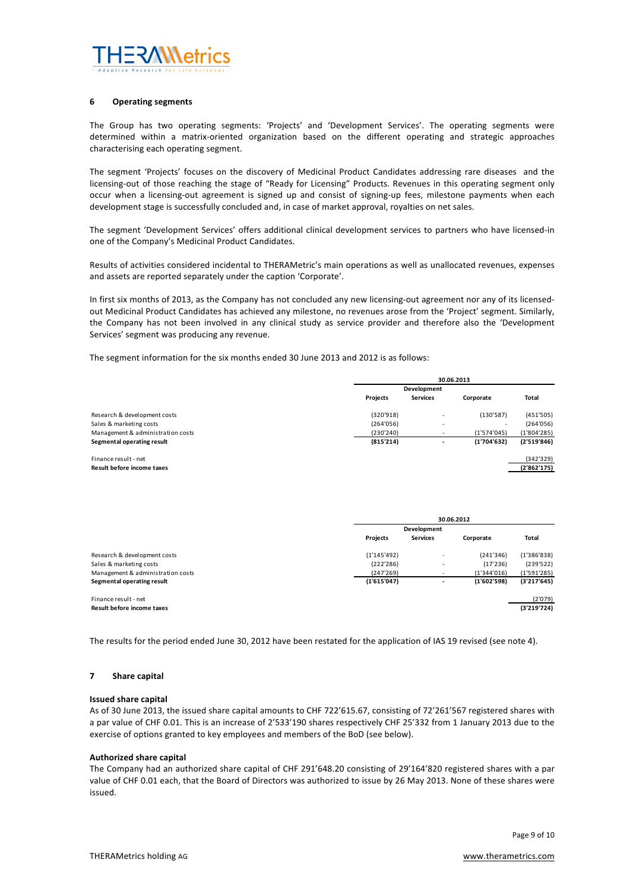

#### **6 Operating segments**

The Group has two operating segments: 'Projects' and 'Development Services'. The operating segments were determined within a matrix-oriented organization based on the different operating and strategic approaches characterising each operating segment.

The segment 'Projects' focuses on the discovery of Medicinal Product Candidates addressing rare diseases and the licensing-out of those reaching the stage of "Ready for Licensing" Products. Revenues in this operating segment only occur when a licensing-out agreement is signed up and consist of signing-up fees, milestone payments when each development stage is successfully concluded and, in case of market approval, royalties on net sales.

The segment 'Development Services' offers additional clinical development services to partners who have licensed-in one of the Company's Medicinal Product Candidates.

Results of activities considered incidental to THERAMetric's main operations as well as unallocated revenues, expenses and assets are reported separately under the caption 'Corporate'.

In first six months of 2013, as the Company has not concluded any new licensing-out agreement nor any of its licensedout Medicinal Product Candidates has achieved any milestone, no revenues arose from the 'Project' segment. Similarly, the Company has not been involved in any clinical study as service provider and therefore also the 'Development Services' segment was producing any revenue.

The segment information for the six months ended 30 June 2013 and 2012 is as follows:

|                                                    | 30.06.2013 |                          |                          |                          |  |
|----------------------------------------------------|------------|--------------------------|--------------------------|--------------------------|--|
|                                                    |            | Development              |                          |                          |  |
|                                                    | Projects   | <b>Services</b>          | Corporate                | Total                    |  |
| Research & development costs                       | (320'918)  | $\overline{\phantom{a}}$ | (130'587)                | (451'505)                |  |
| Sales & marketing costs                            | (264'056)  | $\sim$                   | $\overline{\phantom{a}}$ | (264'056)                |  |
| Management & administration costs                  | (230'240)  | -                        | (1'574'045)              | (1'804'285)              |  |
| Segmental operating result                         | (815'214)  |                          | (1'704'632)              | (2'519'846)              |  |
| Finance result - net<br>Result before income taxes |            |                          |                          | (342'329)<br>(2'862'175) |  |

|                                   | 30.06.2012  |                 |             |             |
|-----------------------------------|-------------|-----------------|-------------|-------------|
|                                   | Development |                 |             |             |
|                                   | Projects    | <b>Services</b> | Corporate   | Total       |
| Research & development costs      | (1'145'492) |                 | (241'346)   | (1'386'838) |
| Sales & marketing costs           | (222'286)   | ۰               | (17'236)    | (239'522)   |
| Management & administration costs | (247'269)   |                 | (1'344'016) | (1'591'285) |
| Segmental operating result        | (1'615'047) |                 | (1'602'598) | (3'217'645) |
| Finance result - net              |             |                 |             | (2'079)     |
| Result before income taxes        |             |                 |             | (3'219'724) |

The results for the period ended June 30, 2012 have been restated for the application of IAS 19 revised (see note 4).

#### **7 Share capital**

#### **Issued share capital**

As of 30 June 2013, the issued share capital amounts to CHF 722'615.67, consisting of 72'261'567 registered shares with a par value of CHF 0.01. This is an increase of 2'533'190 shares respectively CHF 25'332 from 1 January 2013 due to the exercise of options granted to key employees and members of the BoD (see below).

#### **Authorized share capital**

The Company had an authorized share capital of CHF 291'648.20 consisting of 29'164'820 registered shares with a par value of CHF 0.01 each, that the Board of Directors was authorized to issue by 26 May 2013. None of these shares were issued.